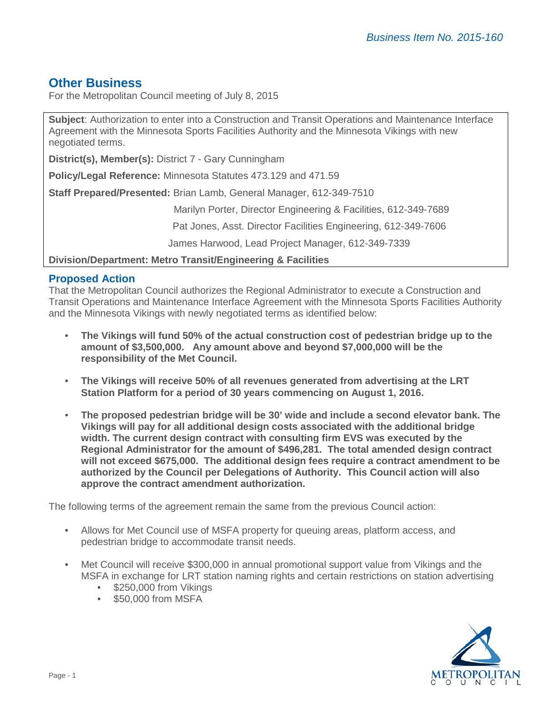# **Other Business**

For the Metropolitan Council meeting of July 8, 2015

**Subject**: Authorization to enter into a Construction and Transit Operations and Maintenance Interface Agreement with the Minnesota Sports Facilities Authority and the Minnesota Vikings with new negotiated terms.

**District(s), Member(s):** District 7 - Gary Cunningham

**Policy/Legal Reference:** Minnesota Statutes 473.129 and 471.59

**Staff Prepared/Presented:** Brian Lamb, General Manager, 612-349-7510

Marilyn Porter, Director Engineering & Facilities, 612-349-7689

Pat Jones, Asst. Director Facilities Engineering, 612-349-7606

James Harwood, Lead Project Manager, 612-349-7339

**Division/Department: Metro Transit/Engineering & Facilities**

## **Proposed Action**

That the Metropolitan Council authorizes the Regional Administrator to execute a Construction and Transit Operations and Maintenance Interface Agreement with the Minnesota Sports Facilities Authority and the Minnesota Vikings with newly negotiated terms as identified below:

- **The Vikings will fund 50% of the actual construction cost of pedestrian bridge up to the amount of \$3,500,000. Any amount above and beyond \$7,000,000 will be the responsibility of the Met Council.**
- **The Vikings will receive 50% of all revenues generated from advertising at the LRT Station Platform for a period of 30 years commencing on August 1, 2016.**
- **The proposed pedestrian bridge will be 30' wide and include a second elevator bank. The Vikings will pay for all additional design costs associated with the additional bridge width. The current design contract with consulting firm EVS was executed by the Regional Administrator for the amount of \$496,281. The total amended design contract will not exceed \$675,000. The additional design fees require a contract amendment to be authorized by the Council per Delegations of Authority. This Council action will also approve the contract amendment authorization.**

The following terms of the agreement remain the same from the previous Council action:

- Allows for Met Council use of MSFA property for queuing areas, platform access, and pedestrian bridge to accommodate transit needs.
- Met Council will receive \$300,000 in annual promotional support value from Vikings and the MSFA in exchange for LRT station naming rights and certain restrictions on station advertising
	- \$250,000 from Vikings
	- \$50,000 from MSFA